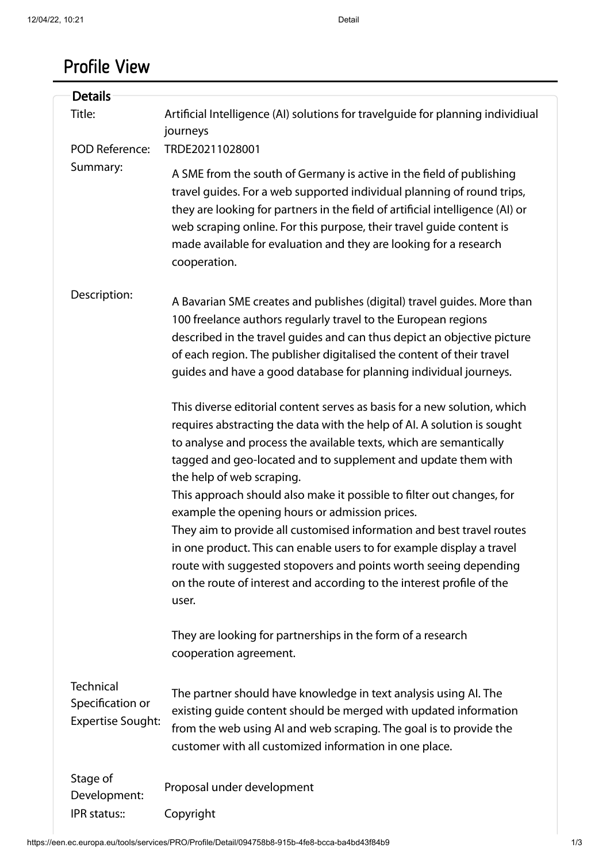## Profile View

| <b>Details</b>                                                   |                                                                                                                                                                                                                                                                                                                                                                                                                                                                                                                                                                                                                                                                                                                                                            |
|------------------------------------------------------------------|------------------------------------------------------------------------------------------------------------------------------------------------------------------------------------------------------------------------------------------------------------------------------------------------------------------------------------------------------------------------------------------------------------------------------------------------------------------------------------------------------------------------------------------------------------------------------------------------------------------------------------------------------------------------------------------------------------------------------------------------------------|
| Title:                                                           | Artificial Intelligence (AI) solutions for travelguide for planning individiual<br>journeys                                                                                                                                                                                                                                                                                                                                                                                                                                                                                                                                                                                                                                                                |
| <b>POD Reference:</b>                                            | TRDE20211028001                                                                                                                                                                                                                                                                                                                                                                                                                                                                                                                                                                                                                                                                                                                                            |
| Summary:                                                         | A SME from the south of Germany is active in the field of publishing<br>travel guides. For a web supported individual planning of round trips,<br>they are looking for partners in the field of artificial intelligence (AI) or<br>web scraping online. For this purpose, their travel quide content is<br>made available for evaluation and they are looking for a research<br>cooperation.                                                                                                                                                                                                                                                                                                                                                               |
| Description:                                                     | A Bavarian SME creates and publishes (digital) travel guides. More than<br>100 freelance authors regularly travel to the European regions<br>described in the travel guides and can thus depict an objective picture<br>of each region. The publisher digitalised the content of their travel<br>guides and have a good database for planning individual journeys.                                                                                                                                                                                                                                                                                                                                                                                         |
|                                                                  | This diverse editorial content serves as basis for a new solution, which<br>requires abstracting the data with the help of AI. A solution is sought<br>to analyse and process the available texts, which are semantically<br>tagged and geo-located and to supplement and update them with<br>the help of web scraping.<br>This approach should also make it possible to filter out changes, for<br>example the opening hours or admission prices.<br>They aim to provide all customised information and best travel routes<br>in one product. This can enable users to for example display a travel<br>route with suggested stopovers and points worth seeing depending<br>on the route of interest and according to the interest profile of the<br>user. |
|                                                                  | They are looking for partnerships in the form of a research<br>cooperation agreement.                                                                                                                                                                                                                                                                                                                                                                                                                                                                                                                                                                                                                                                                      |
| <b>Technical</b><br>Specification or<br><b>Expertise Sought:</b> | The partner should have knowledge in text analysis using AI. The<br>existing guide content should be merged with updated information<br>from the web using AI and web scraping. The goal is to provide the<br>customer with all customized information in one place.                                                                                                                                                                                                                                                                                                                                                                                                                                                                                       |
| Stage of<br>Development:                                         | Proposal under development                                                                                                                                                                                                                                                                                                                                                                                                                                                                                                                                                                                                                                                                                                                                 |
| IPR status::                                                     | Copyright                                                                                                                                                                                                                                                                                                                                                                                                                                                                                                                                                                                                                                                                                                                                                  |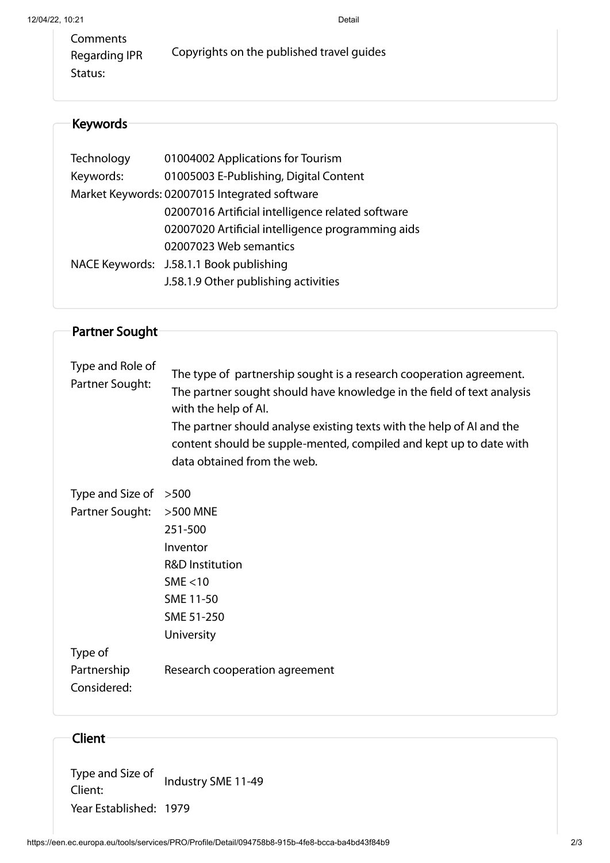## Keywords

| Technology | 01004002 Applications for Tourism                 |
|------------|---------------------------------------------------|
| Keywords:  | 01005003 E-Publishing, Digital Content            |
|            | Market Keywords: 02007015 Integrated software     |
|            | 02007016 Artificial intelligence related software |
|            | 02007020 Artificial intelligence programming aids |
|            | 02007023 Web semantics                            |
|            | NACE Keywords: J.58.1.1 Book publishing           |
|            | J.58.1.9 Other publishing activities              |
|            |                                                   |

| <b>Partner Sought</b>               |                                                                                                                                                                                                                                                                                                                                                     |
|-------------------------------------|-----------------------------------------------------------------------------------------------------------------------------------------------------------------------------------------------------------------------------------------------------------------------------------------------------------------------------------------------------|
|                                     |                                                                                                                                                                                                                                                                                                                                                     |
| Type and Role of<br>Partner Sought: | The type of partnership sought is a research cooperation agreement.<br>The partner sought should have knowledge in the field of text analysis<br>with the help of AI.<br>The partner should analyse existing texts with the help of AI and the<br>content should be supple-mented, compiled and kept up to date with<br>data obtained from the web. |
| Type and Size of                    | >500                                                                                                                                                                                                                                                                                                                                                |
| Partner Sought:                     | >500 MNE                                                                                                                                                                                                                                                                                                                                            |
|                                     | 251-500                                                                                                                                                                                                                                                                                                                                             |
|                                     | Inventor                                                                                                                                                                                                                                                                                                                                            |
|                                     | <b>R&amp;D Institution</b>                                                                                                                                                                                                                                                                                                                          |
|                                     | SME $<$ 10                                                                                                                                                                                                                                                                                                                                          |
|                                     | SME 11-50                                                                                                                                                                                                                                                                                                                                           |
|                                     | SME 51-250                                                                                                                                                                                                                                                                                                                                          |
|                                     | University                                                                                                                                                                                                                                                                                                                                          |
| Type of                             |                                                                                                                                                                                                                                                                                                                                                     |
| Partnership                         | Research cooperation agreement                                                                                                                                                                                                                                                                                                                      |
| Considered:                         |                                                                                                                                                                                                                                                                                                                                                     |
|                                     |                                                                                                                                                                                                                                                                                                                                                     |

## Client

Type and Size of Client: Industry SME 11-49 Year Established: 1979